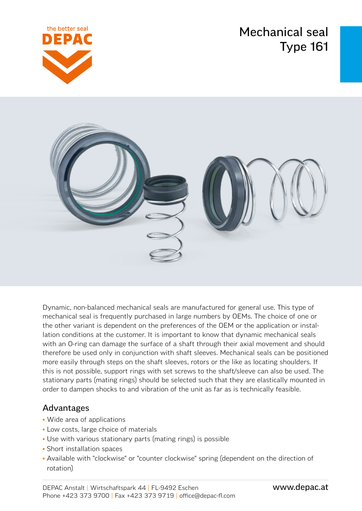Mechanical seal Type 161





Dynamic, non-balanced mechanical seals are manufactured for general use. This type of mechanical seal is frequently purchased in large numbers by OEMs. The choice of one or the other variant is dependent on the preferences of the OEM or the application or installation conditions at the customer. It is important to know that dynamic mechanical seals with an O-ring can damage the surface of a shaft through their axial movement and should therefore be used only in conjunction with shaft sleeves. Mechanical seals can be positioned more easily through steps on the shaft sleeves, rotors or the like as locating shoulders. If this is not possible, support rings with set screws to the shaft/sleeve can also be used. The stationary parts (mating rings) should be selected such that they are elastically mounted in order to dampen shocks to and vibration of the unit as far as is technically feasible.

### Advantages

- Wide area of applications
- Low costs, large choice of materials
- Use with various stationary parts (mating rings) is possible
- Short installation spaces
- Available with "clockwise" or "counter clockwise" spring (dependent on the direction of rotation)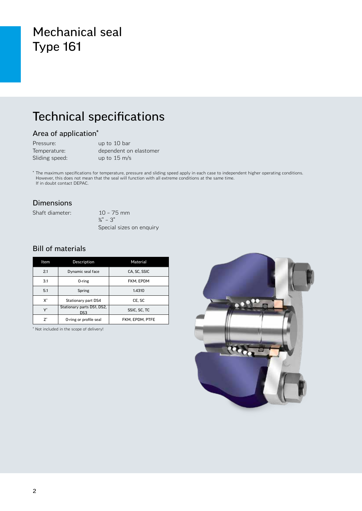## Mechanical seal Type 161

## Technical specifications

#### Area of application\*

| Pressure:      | up to 10 bar           |
|----------------|------------------------|
| Temperature:   | dependent on elastomer |
| Sliding speed: | up to $15 \text{ m/s}$ |

\* The maximum specifications for temperature, pressure and sliding speed apply in each case to independent higher operating conditions. However, this does not mean that the seal will function with all extreme conditions at the same time. If in doubt contact DEPAC.

#### Dimensions

Shaft diameter: 10 – 75 mm

 $\frac{3}{8}$ " – 3" Special sizes on enquiry

#### Bill of materials

| Item                 | Description                                   | Material        |  |
|----------------------|-----------------------------------------------|-----------------|--|
| 2.1                  | Dynamic seal face                             | CA. SC. SSIC    |  |
| 3.1                  | 0-ring                                        | FKM, EPDM       |  |
| 5.1                  | Spring                                        | 1.4310          |  |
| $X^*$                | Stationary part DS4                           | CE. SC          |  |
| $\mathsf{Y}^{\star}$ | Stationary parts DS1, DS2,<br>DS <sub>3</sub> | SSIC, SC, TC    |  |
| 7*                   | O-ring or profile seal                        | FKM. EPDM. PTFE |  |

\* Not included in the scope of delivery!

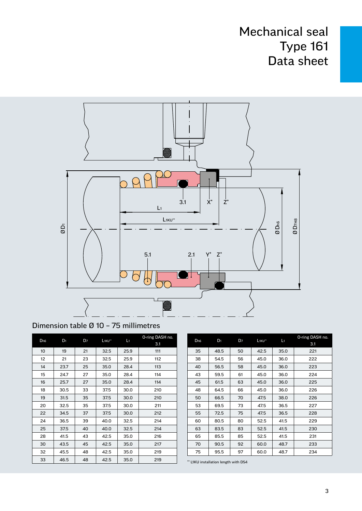## Mechanical seal Type 161 Data sheet



### Dimension table Ø 10 – 75 millimetres

| D <sub>h6</sub> | D <sub>1</sub> | D <sub>7</sub> | L <sub>1KU**</sub> | L1   | O-ring DASH no.<br>3.1 |
|-----------------|----------------|----------------|--------------------|------|------------------------|
| 10              | 19             | 21             | 32.5               | 25.9 | 111                    |
| 12 <sup>2</sup> | 21             | 23             | 32.5               | 25.9 | 112                    |
| 14              | 23.7           | 25             | 35.0               | 28.4 | 113                    |
| 15              | 24.7           | 27             | 35.0               | 28.4 | 114                    |
| 16              | 25.7           | 27             | 35.0               | 28.4 | 114                    |
| 18              | 30.5           | 33             | 37.5               | 30.0 | 210                    |
| 19              | 31.5           | 35             | 37.5               | 30.0 | 210                    |
| 20              | 32.5           | 35             | 37.5               | 30.0 | 211                    |
| 22              | 34.5           | 37             | 37.5               | 30.0 | 212                    |
| 24              | 36.5           | 39             | 40.0               | 32.5 | 214                    |
| 25              | 37.5           | 40             | 40.0               | 32.5 | 214                    |
| 28              | 41.5           | 43             | 42.5               | 35.0 | 216                    |
| 30              | 43.5           | 45             | 42.5               | 35.0 | 217                    |
| 32              | 45.5           | 48             | 42.5               | 35.0 | 219                    |
| 33              | 46.5           | 48             | 42.5               | 35.0 | 219                    |

| D <sub>h6</sub> | $D_1$ | D7 | L <sub>1KU**</sub><br>L1 |      | O-ring DASH no. |
|-----------------|-------|----|--------------------------|------|-----------------|
|                 |       |    |                          |      | 3.1             |
| 35              | 48.5  | 50 | 42.5                     | 35.0 | 221             |
| 38              | 54.5  | 56 | 45.0                     | 36.0 | 222             |
| 40              | 56.5  | 58 | 45.0                     | 36.0 | 223             |
| 43              | 59.5  | 61 | 45.0                     | 36.0 | 224             |
| 45              | 61.5  | 63 | 45.0                     | 36.0 | 225             |
| 48              | 64.5  | 66 | 45.0                     | 36.0 | 226             |
| 50              | 66.5  | 70 | 47.5                     | 38.0 | 226             |
| 53              | 69.5  | 73 | 47.5                     | 36.5 | 227             |
| 55              | 72.5  | 75 | 47.5                     | 36.5 | 228             |
| 60              | 80.5  | 80 | 52.5                     | 41.5 | 229             |
| 63              | 83.5  | 83 | 52.5                     | 41.5 | 230             |
| 65              | 85.5  | 85 | 52.5                     | 41.5 | 231             |
| 70              | 90.5  | 92 | 60.0                     | 48.7 | 233             |
| 75              | 95.5  | 97 | 60.0                     | 48.7 | 234             |

\*\* L1KU installation length with DS4